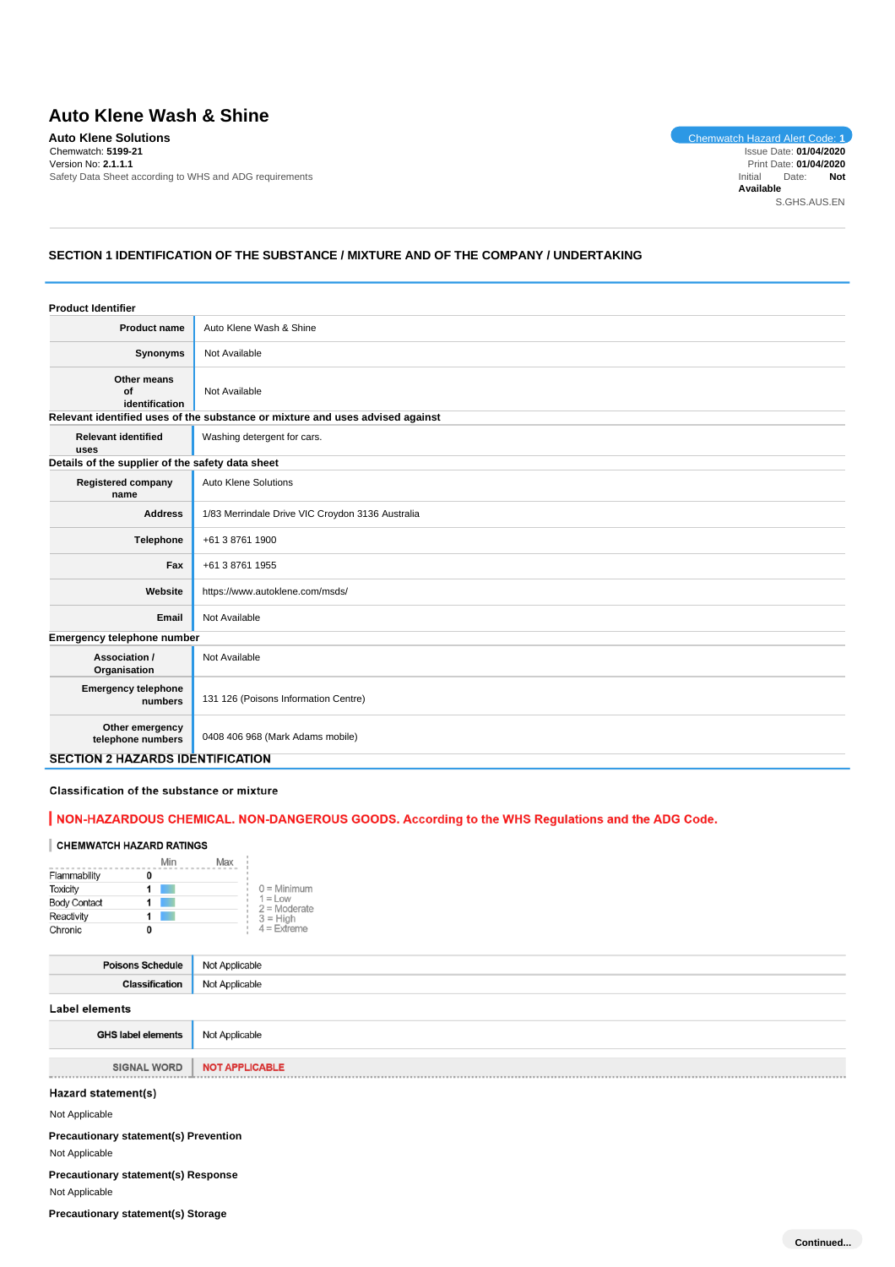# **Auto Klene Wash & Shine**

**Auto Klene Solutions** Chemwatch Hazard Alert Code: **1** Chemwatch: **5199-21** Version No: **2.1.1.1** Safety Data Sheet according to WHS and ADG requirements

Issue Date: **01/04/2020** Print Date: **01/04/2020**<br>hitial Date: **Not** Initial Date: **Available** S.GHS.AUS.EN

# **SECTION 1 IDENTIFICATION OF THE SUBSTANCE / MIXTURE AND OF THE COMPANY / UNDERTAKING**

| <b>Product Identifier</b>                        |                                                                               |  |
|--------------------------------------------------|-------------------------------------------------------------------------------|--|
| Product name                                     | Auto Klene Wash & Shine                                                       |  |
| Synonyms                                         | Not Available                                                                 |  |
| Other means<br>of<br>identification              | Not Available                                                                 |  |
|                                                  | Relevant identified uses of the substance or mixture and uses advised against |  |
| <b>Relevant identified</b><br>uses               | Washing detergent for cars.                                                   |  |
| Details of the supplier of the safety data sheet |                                                                               |  |
| <b>Registered company</b><br>name                | <b>Auto Klene Solutions</b>                                                   |  |
| <b>Address</b>                                   | 1/83 Merrindale Drive VIC Croydon 3136 Australia                              |  |
| <b>Telephone</b>                                 | +61 3 8761 1900                                                               |  |
| Fax                                              | +61 3 8761 1955                                                               |  |
| Website                                          | https://www.autoklene.com/msds/                                               |  |
| Email                                            | Not Available                                                                 |  |
| Emergency telephone number                       |                                                                               |  |
| Association /<br>Organisation                    | Not Available                                                                 |  |
| <b>Emergency telephone</b><br>numbers            | 131 126 (Poisons Information Centre)                                          |  |
| Other emergency<br>telephone numbers             | 0408 406 968 (Mark Adams mobile)                                              |  |
| <b>SECTION 2 HAZARDS IDENTIFICATION</b>          |                                                                               |  |

Classification of the substance or mixture

# | NON-HAZARDOUS CHEMICAL. NON-DANGEROUS GOODS. According to the WHS Regulations and the ADG Code.

#### **CHEMWATCH HAZARD RATINGS**

|                     | Min | Max |                             |
|---------------------|-----|-----|-----------------------------|
| Flammability        |     |     |                             |
| <b>Toxicity</b>     |     |     | $0 =$ Minimum               |
| <b>Body Contact</b> |     |     | $1 =$ Low<br>$2 =$ Moderate |
| Reactivity          |     |     | $3 = High$                  |
| Chronic             |     |     | $4$ = Extreme               |

| <b>Poisons Schedule</b>   | Not Applicable        |
|---------------------------|-----------------------|
| <b>Classification</b>     | Not Applicable        |
| Label elements            |                       |
| <b>GHS label elements</b> | Not Applicable        |
| <b>SIGNAL WORD</b>        | <b>NOT APPLICABLE</b> |

Hazard statement(s)

Not Applicable

**Precautionary statement(s) Prevention** Not Applicable

**Precautionary statement(s) Response** Not Applicable

**Precautionary statement(s) Storage**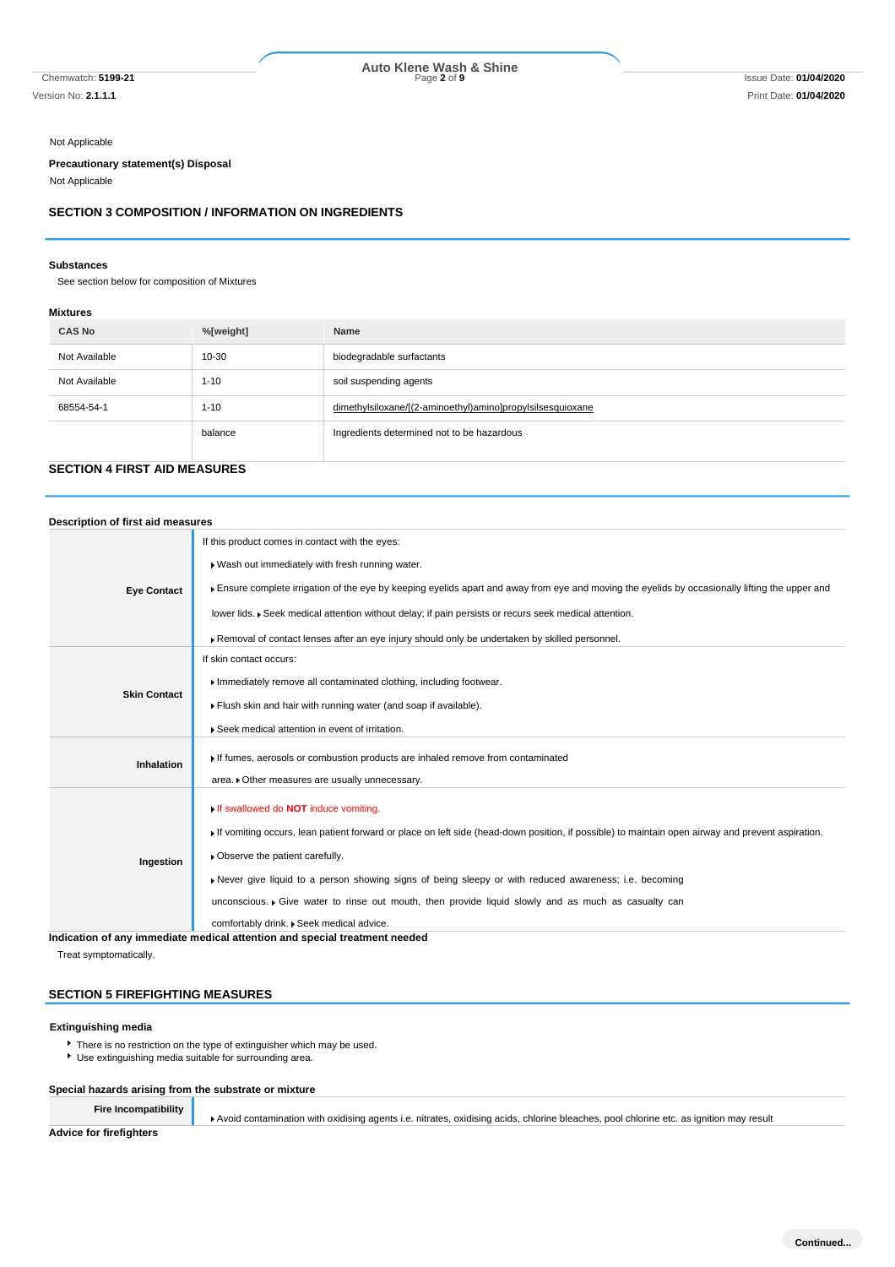# Chemwatch: **5199-21** Page **2** of **9** Issue Date: **01/04/2020 Auto Klene Wash & Shine**

Not Applicable

#### **Precautionary statement(s) Disposal**

Not Applicable

### **SECTION 3 COMPOSITION / INFORMATION ON INGREDIENTS**

#### **Substances**

See section below for composition of Mixtures

### **Mixtures**

| <b>CAS No</b> | %[weight] | Name                                                       |
|---------------|-----------|------------------------------------------------------------|
| Not Available | 10-30     | biodegradable surfactants                                  |
| Not Available | $1 - 10$  | soil suspending agents                                     |
| 68554-54-1    | $1 - 10$  | dimethylsiloxane/[(2-aminoethyl)amino]propylsilsesquioxane |
|               | balance   | Ingredients determined not to be hazardous                 |

# **SECTION 4 FIRST AID MEASURES**

| Description of first aid measures |                                                                                                                                                                                                         |  |  |  |  |
|-----------------------------------|---------------------------------------------------------------------------------------------------------------------------------------------------------------------------------------------------------|--|--|--|--|
| <b>Eye Contact</b>                | If this product comes in contact with the eyes:<br>Wash out immediately with fresh running water.                                                                                                       |  |  |  |  |
|                                   | Ensure complete irrigation of the eye by keeping eyelids apart and away from eye and moving the eyelids by occasionally lifting the upper and                                                           |  |  |  |  |
|                                   | lower lids. ▶ Seek medical attention without delay; if pain persists or recurs seek medical attention.<br>Removal of contact lenses after an eye injury should only be undertaken by skilled personnel. |  |  |  |  |
|                                   | If skin contact occurs:                                                                                                                                                                                 |  |  |  |  |
| <b>Skin Contact</b>               | Immediately remove all contaminated clothing, including footwear.                                                                                                                                       |  |  |  |  |
|                                   | Flush skin and hair with running water (and soap if available).                                                                                                                                         |  |  |  |  |
|                                   | ▶ Seek medical attention in event of irritation.                                                                                                                                                        |  |  |  |  |
| <b>Inhalation</b>                 | If fumes, aerosols or combustion products are inhaled remove from contaminated                                                                                                                          |  |  |  |  |
|                                   | area. • Other measures are usually unnecessary.                                                                                                                                                         |  |  |  |  |
|                                   | If swallowed do <b>NOT</b> induce vomiting.                                                                                                                                                             |  |  |  |  |
| Ingestion                         | If vomiting occurs, lean patient forward or place on left side (head-down position, if possible) to maintain open airway and prevent aspiration.                                                        |  |  |  |  |
|                                   | • Observe the patient carefully.                                                                                                                                                                        |  |  |  |  |
|                                   | Never give liquid to a person showing signs of being sleepy or with reduced awareness; i.e. becoming                                                                                                    |  |  |  |  |
|                                   | unconscious. • Give water to rinse out mouth, then provide liquid slowly and as much as casualty can                                                                                                    |  |  |  |  |
|                                   | comfortably drink. . Seek medical advice.                                                                                                                                                               |  |  |  |  |
|                                   | Indication of any immediate medical attention and special treatment needed                                                                                                                              |  |  |  |  |

Treat symptomatically.

# **SECTION 5 FIREFIGHTING MEASURES**

### **Extinguishing media**

- There is no restriction on the type of extinguisher which may be used.
- Use extinguishing media suitable for surrounding area.

#### **Special hazards arising from the substrate or mixture**

**Fire Incompatibility**

Avoid contamination with oxidising agents i.e. nitrates, oxidising acids, chlorine bleaches, pool chlorine etc. as ignition may result

**Advice for firefighters**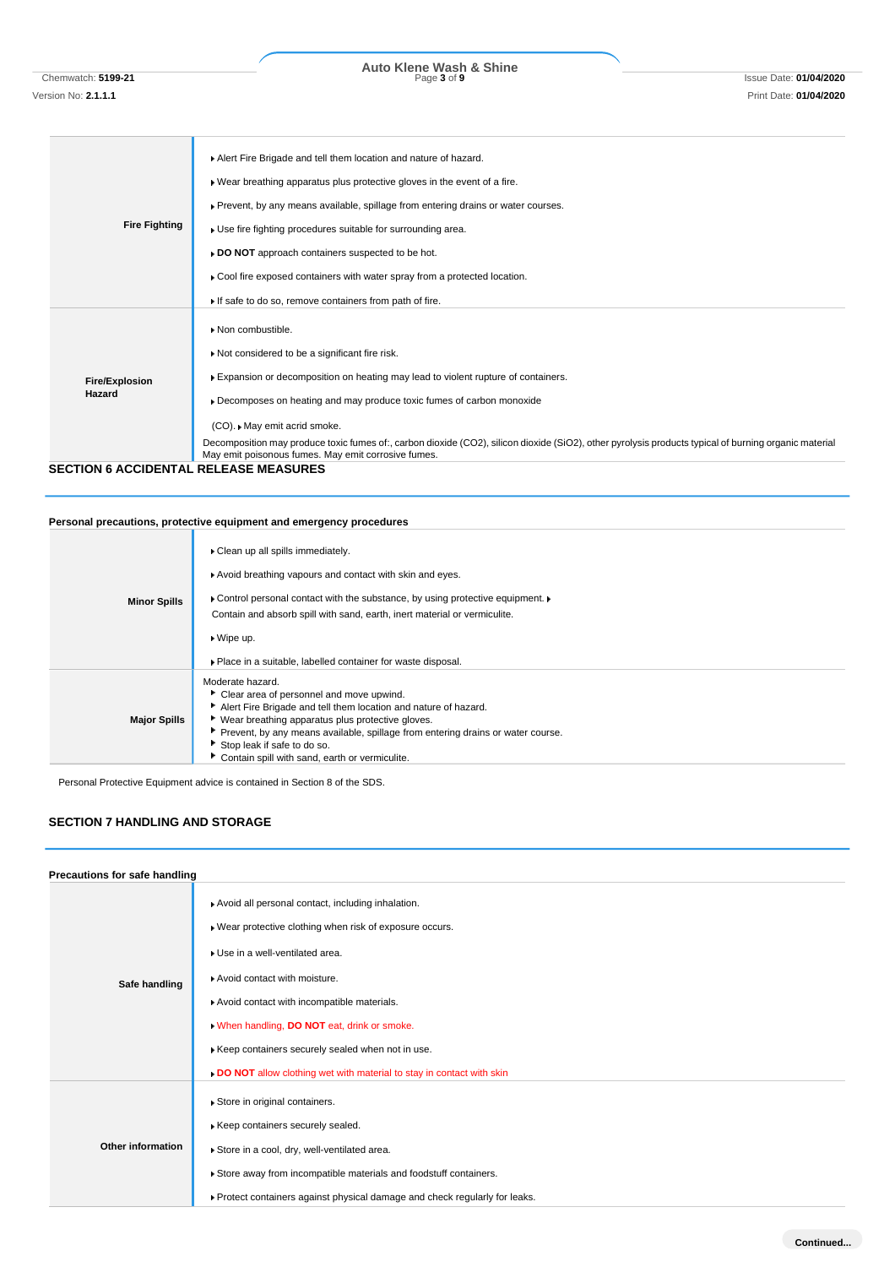Chemwatch: **5199-21** Page **3** of **9** Issue Date: **01/04/2020 Auto Klene Wash & Shine**

| <b>Fire Fighting</b>            | Alert Fire Brigade and tell them location and nature of hazard.<br>. Wear breathing apparatus plus protective gloves in the event of a fire.<br>▶ Prevent, by any means available, spillage from entering drains or water courses.<br>Use fire fighting procedures suitable for surrounding area.<br>DO NOT approach containers suspected to be hot.<br>• Cool fire exposed containers with water spray from a protected location.<br>If safe to do so, remove containers from path of fire.                                   |
|---------------------------------|--------------------------------------------------------------------------------------------------------------------------------------------------------------------------------------------------------------------------------------------------------------------------------------------------------------------------------------------------------------------------------------------------------------------------------------------------------------------------------------------------------------------------------|
| <b>Fire/Explosion</b><br>Hazard | Non combustible.<br>Not considered to be a significant fire risk.<br>Expansion or decomposition on heating may lead to violent rupture of containers.<br>Decomposes on heating and may produce toxic fumes of carbon monoxide<br>(CO). • May emit acrid smoke.<br>Decomposition may produce toxic fumes of:, carbon dioxide (CO2), silicon dioxide (SiO2), other pyrolysis products typical of burning organic material<br>May emit poisonous fumes. May emit corrosive fumes.<br><b>SECTION 6 ACCIDENTAL RELEASE MEASURES</b> |

# **Personal precautions, protective equipment and emergency procedures**

| <b>Minor Spills</b> | • Clean up all spills immediately.<br>Avoid breathing vapours and contact with skin and eyes.<br>► Control personal contact with the substance, by using protective equipment. ►<br>Contain and absorb spill with sand, earth, inert material or vermiculite.<br>▶ Wipe up.<br>▶ Place in a suitable, labelled container for waste disposal.                |
|---------------------|-------------------------------------------------------------------------------------------------------------------------------------------------------------------------------------------------------------------------------------------------------------------------------------------------------------------------------------------------------------|
| <b>Major Spills</b> | Moderate hazard.<br>• Clear area of personnel and move upwind.<br>Alert Fire Brigade and tell them location and nature of hazard.<br>▶ Wear breathing apparatus plus protective gloves.<br>Prevent, by any means available, spillage from entering drains or water course.<br>Stop leak if safe to do so.<br>Contain spill with sand, earth or vermiculite. |

Personal Protective Equipment advice is contained in Section 8 of the SDS.

# **SECTION 7 HANDLING AND STORAGE**

| Precautions for safe handling |                                                                                                                                                                                                                                                                                                                                                                                                       |  |  |  |
|-------------------------------|-------------------------------------------------------------------------------------------------------------------------------------------------------------------------------------------------------------------------------------------------------------------------------------------------------------------------------------------------------------------------------------------------------|--|--|--|
| Safe handling                 | Avoid all personal contact, including inhalation.<br>Wear protective clothing when risk of exposure occurs.<br>Use in a well-ventilated area.<br>Avoid contact with moisture.<br>Avoid contact with incompatible materials.<br>When handling, DO NOT eat, drink or smoke.<br>Keep containers securely sealed when not in use.<br>DO NOT allow clothing wet with material to stay in contact with skin |  |  |  |
| Other information             | Store in original containers.<br>Keep containers securely sealed.<br>Store in a cool, dry, well-ventilated area.<br>Store away from incompatible materials and foodstuff containers.<br>▶ Protect containers against physical damage and check regularly for leaks.                                                                                                                                   |  |  |  |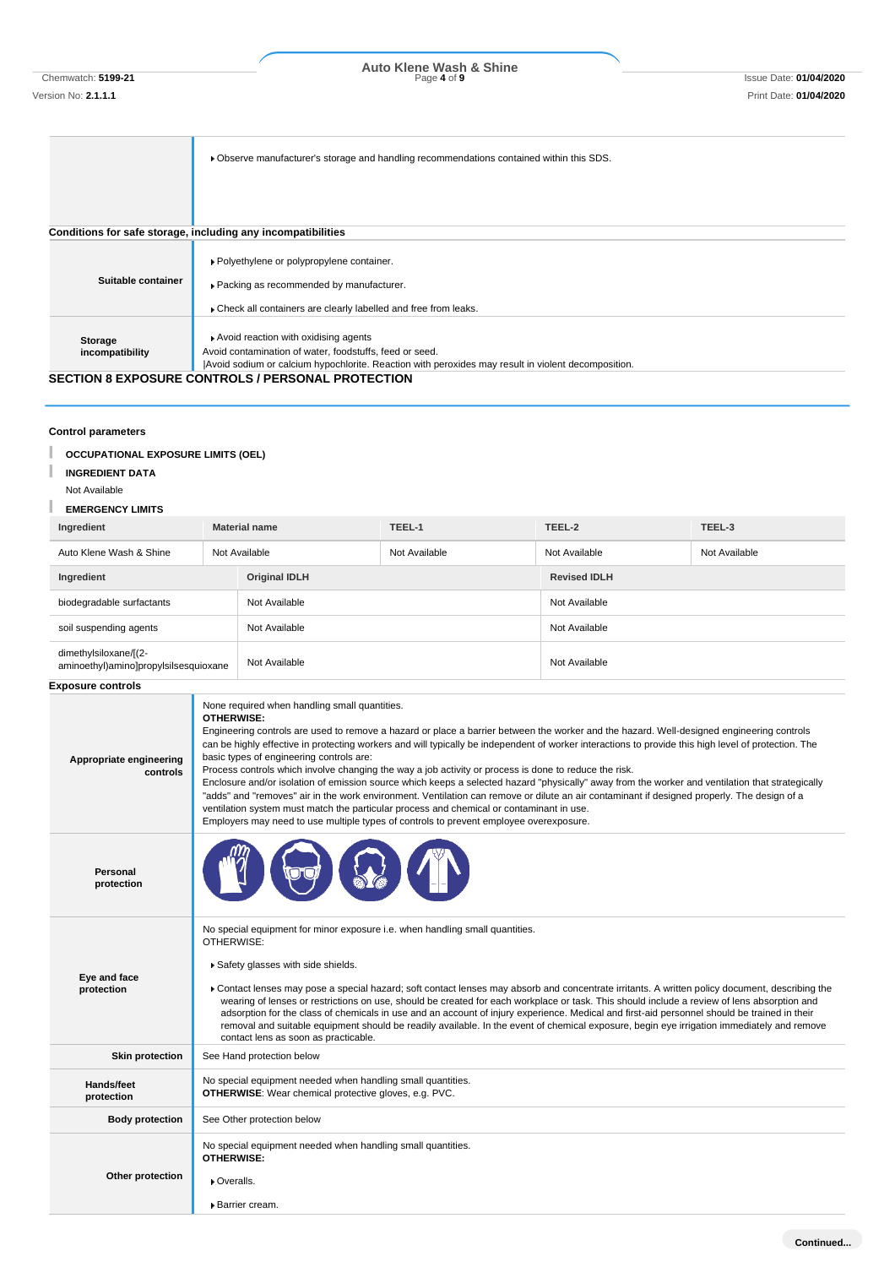Chemwatch: **5199-21** Page **4** of **9** Issue Date: **01/04/2020 Auto Klene Wash & Shine**

|                    | ► Observe manufacturer's storage and handling recommendations contained within this SDS.           |
|--------------------|----------------------------------------------------------------------------------------------------|
|                    |                                                                                                    |
|                    |                                                                                                    |
|                    |                                                                                                    |
|                    |                                                                                                    |
|                    | Conditions for safe storage, including any incompatibilities                                       |
|                    |                                                                                                    |
|                    | ▶ Polyethylene or polypropylene container.                                                         |
| Suitable container |                                                                                                    |
|                    | ▶ Packing as recommended by manufacturer.                                                          |
|                    | Check all containers are clearly labelled and free from leaks.                                     |
|                    |                                                                                                    |
| Storage            | Avoid reaction with oxidising agents                                                               |
| incompatibility    | Avoid contamination of water, foodstuffs, feed or seed.                                            |
|                    | Avoid sodium or calcium hypochlorite. Reaction with peroxides may result in violent decomposition. |
|                    | <b>SECTION 8 EXPOSURE CONTROLS / PERSONAL PROTECTION</b>                                           |
|                    |                                                                                                    |
|                    |                                                                                                    |
|                    |                                                                                                    |

# **Control parameters**

T **OCCUPATIONAL EXPOSURE LIMITS (OEL)**

#### T **INGREDIENT DATA**

Not Available

#### L **EMERGENCY LIMITS**

| Ingredient                                                     | <b>Material name</b> |               | TEEL-1              | TEEL-2        | TEEL-3        |
|----------------------------------------------------------------|----------------------|---------------|---------------------|---------------|---------------|
| Auto Klene Wash & Shine                                        |                      | Not Available | Not Available       | Not Available | Not Available |
| <b>Original IDLH</b><br>Ingredient                             |                      |               | <b>Revised IDLH</b> |               |               |
| biodegradable surfactants                                      |                      | Not Available |                     | Not Available |               |
| soil suspending agents                                         |                      | Not Available |                     | Not Available |               |
| dimethylsiloxane/[(2-<br>aminoethyl)amino]propylsilsesquioxane |                      | Not Available |                     | Not Available |               |

# **Exposure controls**

| Appropriate engineering<br>controls | None required when handling small quantities.<br>OTHERWISE:<br>Engineering controls are used to remove a hazard or place a barrier between the worker and the hazard. Well-designed engineering controls<br>can be highly effective in protecting workers and will typically be independent of worker interactions to provide this high level of protection. The<br>basic types of engineering controls are:<br>Process controls which involve changing the way a job activity or process is done to reduce the risk.<br>Enclosure and/or isolation of emission source which keeps a selected hazard "physically" away from the worker and ventilation that strategically<br>"adds" and "removes" air in the work environment. Ventilation can remove or dilute an air contaminant if designed properly. The design of a<br>ventilation system must match the particular process and chemical or contaminant in use.<br>Employers may need to use multiple types of controls to prevent employee overexposure. |
|-------------------------------------|----------------------------------------------------------------------------------------------------------------------------------------------------------------------------------------------------------------------------------------------------------------------------------------------------------------------------------------------------------------------------------------------------------------------------------------------------------------------------------------------------------------------------------------------------------------------------------------------------------------------------------------------------------------------------------------------------------------------------------------------------------------------------------------------------------------------------------------------------------------------------------------------------------------------------------------------------------------------------------------------------------------|
| <b>Personal</b><br>protection       |                                                                                                                                                                                                                                                                                                                                                                                                                                                                                                                                                                                                                                                                                                                                                                                                                                                                                                                                                                                                                |
| Eye and face<br>protection          | No special equipment for minor exposure i.e. when handling small quantities.<br>OTHERWISE:<br>Safety glasses with side shields.<br>Contact lenses may pose a special hazard; soft contact lenses may absorb and concentrate irritants. A written policy document, describing the<br>wearing of lenses or restrictions on use, should be created for each workplace or task. This should include a review of lens absorption and<br>adsorption for the class of chemicals in use and an account of injury experience. Medical and first-aid personnel should be trained in their<br>removal and suitable equipment should be readily available. In the event of chemical exposure, begin eye irrigation immediately and remove<br>contact lens as soon as practicable.                                                                                                                                                                                                                                          |
| <b>Skin protection</b>              | See Hand protection below                                                                                                                                                                                                                                                                                                                                                                                                                                                                                                                                                                                                                                                                                                                                                                                                                                                                                                                                                                                      |
| Hands/feet<br>protection            | No special equipment needed when handling small quantities.<br><b>OTHERWISE:</b> Wear chemical protective gloves, e.g. PVC.                                                                                                                                                                                                                                                                                                                                                                                                                                                                                                                                                                                                                                                                                                                                                                                                                                                                                    |
| <b>Body protection</b>              | See Other protection below                                                                                                                                                                                                                                                                                                                                                                                                                                                                                                                                                                                                                                                                                                                                                                                                                                                                                                                                                                                     |
| Other protection                    | No special equipment needed when handling small quantities.<br>OTHERWISE:<br>▶ Overalls.<br>▶ Barrier cream.                                                                                                                                                                                                                                                                                                                                                                                                                                                                                                                                                                                                                                                                                                                                                                                                                                                                                                   |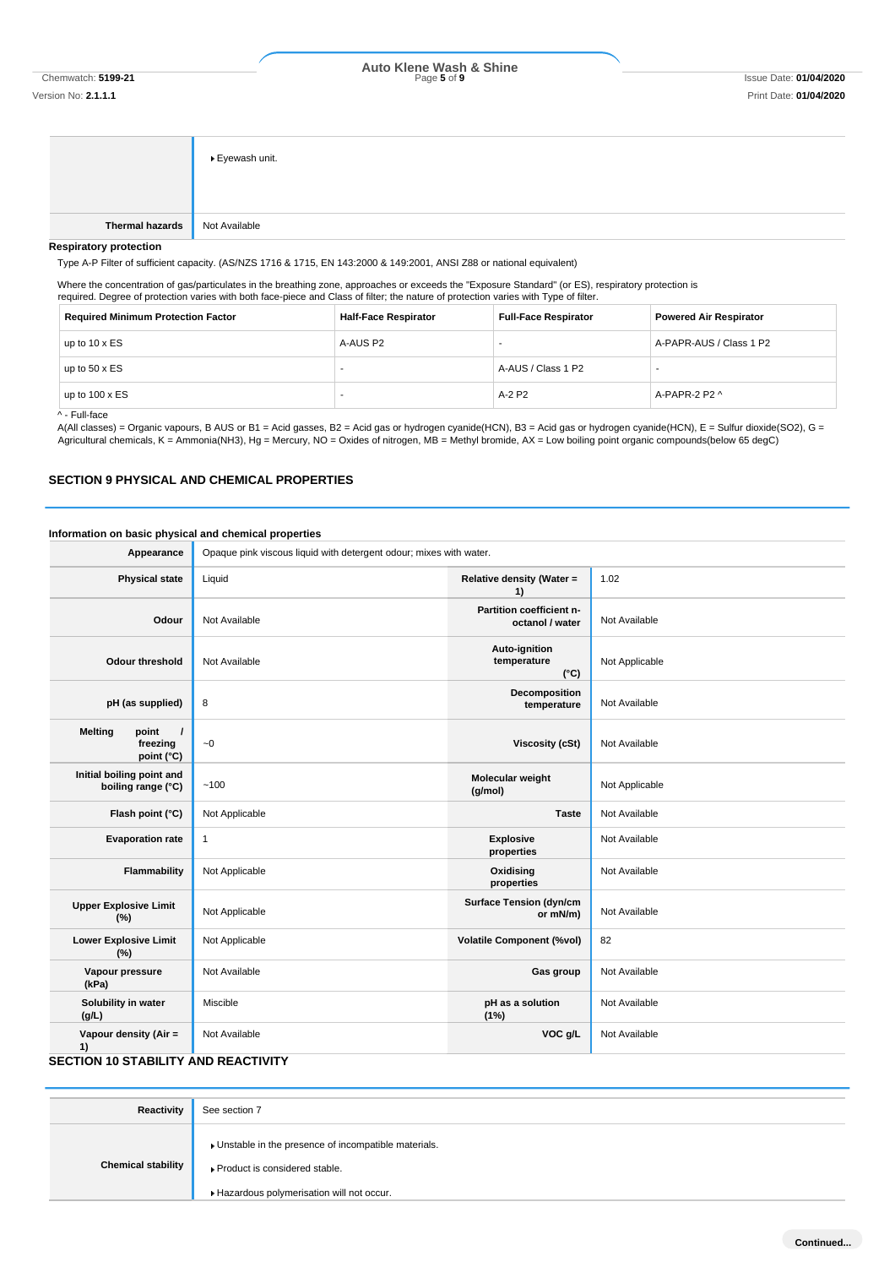Chemwatch: **5199-21** Page **5** of **9** Issue Date: **01/04/2020 Auto Klene Wash & Shine**

Version No: **2.1.1.1** Print Date: **01/04/2020**

|                               | ▶ Eyewash unit. |
|-------------------------------|-----------------|
| Thermal hazards Not Available |                 |

#### **Respiratory protection**

Type A-P Filter of sufficient capacity. (AS/NZS 1716 & 1715, EN 143:2000 & 149:2001, ANSI Z88 or national equivalent)

Where the concentration of gas/particulates in the breathing zone, approaches or exceeds the "Exposure Standard" (or ES), respiratory protection is required. Degree of protection varies with both face-piece and Class of filter; the nature of protection varies with Type of filter.

| <b>Required Minimum Protection Factor</b> | <b>Half-Face Respirator</b> | <b>Full-Face Respirator</b> | <b>Powered Air Respirator</b> |
|-------------------------------------------|-----------------------------|-----------------------------|-------------------------------|
| up to $10 \times ES$                      | A-AUS P2                    | -                           | A-PAPR-AUS / Class 1 P2       |
| up to $50 \times ES$                      | -                           | A-AUS / Class 1 P2          |                               |
| up to $100 \times ES$                     |                             | $A-2$ P <sub>2</sub>        | A-PAPR-2 P2 ^                 |

^ - Full-face

A(All classes) = Organic vapours, B AUS or B1 = Acid gasses, B2 = Acid gas or hydrogen cyanide(HCN), B3 = Acid gas or hydrogen cyanide(HCN), E = Sulfur dioxide(SO2), G = Agricultural chemicals, K = Ammonia(NH3), Hg = Mercury, NO = Oxides of nitrogen, MB = Methyl bromide, AX = Low boiling point organic compounds(below 65 degC)

#### **SECTION 9 PHYSICAL AND CHEMICAL PROPERTIES**

# **Information on basic physical and chemical properties**

| Opaque pink viscous liquid with detergent odour; mixes with water. |                                               |                |
|--------------------------------------------------------------------|-----------------------------------------------|----------------|
| Liquid                                                             | Relative density (Water =<br>1)               | 1.02           |
| Not Available                                                      | Partition coefficient n-<br>octanol / water   | Not Available  |
| Not Available                                                      | Auto-ignition<br>temperature<br>$(^{\circ}C)$ | Not Applicable |
| 8                                                                  | Decomposition<br>temperature                  | Not Available  |
| $\sim\!0$                                                          | <b>Viscosity (cSt)</b>                        | Not Available  |
| ~100                                                               | Molecular weight<br>(g/mol)                   | Not Applicable |
| Not Applicable                                                     | <b>Taste</b>                                  | Not Available  |
| $\mathbf{1}$                                                       | <b>Explosive</b><br>properties                | Not Available  |
| Not Applicable                                                     | Oxidising<br>properties                       | Not Available  |
| Not Applicable                                                     | <b>Surface Tension (dyn/cm</b><br>or mN/m)    | Not Available  |
| Not Applicable                                                     | <b>Volatile Component (%vol)</b>              | 82             |
| Not Available                                                      | Gas group                                     | Not Available  |
| Miscible                                                           | pH as a solution<br>(1%)                      | Not Available  |
| Not Available                                                      | VOC g/L                                       | Not Available  |
|                                                                    | <b>SECTION 10 STABILITY AND REACTIVITY</b>    |                |

| Reactivity                | See section 7                                                                                                                        |
|---------------------------|--------------------------------------------------------------------------------------------------------------------------------------|
| <b>Chemical stability</b> | • Unstable in the presence of incompatible materials.<br>▶ Product is considered stable.<br>Hazardous polymerisation will not occur. |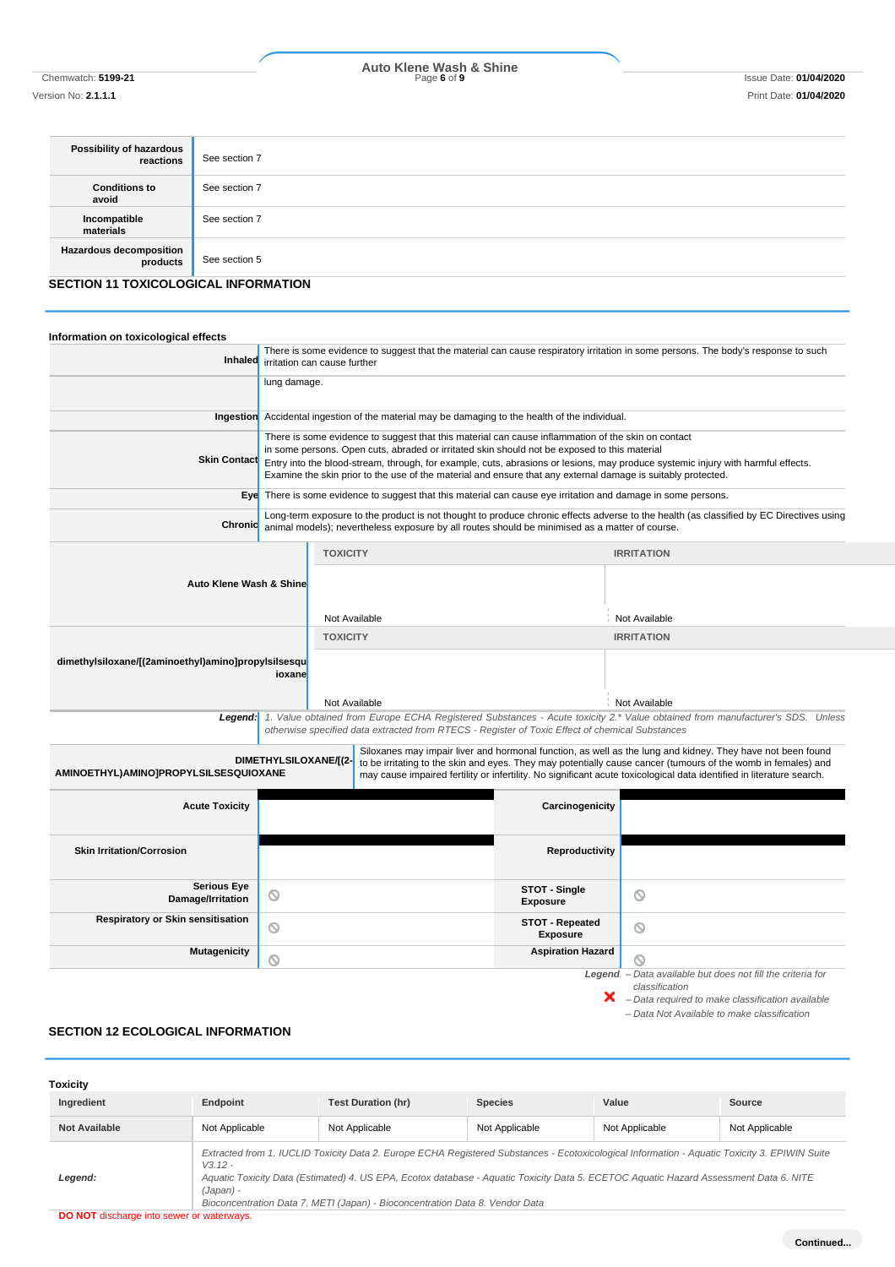# Chemwatch: **5199-21** Page **6** of **9** Issue Date: **01/04/2020 Auto Klene Wash & Shine**

Version No: **2.1.1.1** Print Date: **01/04/2020**

| Possibility of hazardous<br>reactions      | See section 7 |
|--------------------------------------------|---------------|
| <b>Conditions to</b><br>avoid              | See section 7 |
| Incompatible<br>materials                  | See section 7 |
| <b>Hazardous decomposition</b><br>products | See section 5 |
| SECTION 11 TOXICOLOGICAL INFORMATION       |               |

# **SECTION 11 TOXICOLOGICAL INFORMATION**

| Information on toxicological effects                          |                              |                                                                                                                                                                                                                                                                                                                                                  |                                                                                                                                   |                                                                                                                                                                                                                                                                                                                                                      |  |
|---------------------------------------------------------------|------------------------------|--------------------------------------------------------------------------------------------------------------------------------------------------------------------------------------------------------------------------------------------------------------------------------------------------------------------------------------------------|-----------------------------------------------------------------------------------------------------------------------------------|------------------------------------------------------------------------------------------------------------------------------------------------------------------------------------------------------------------------------------------------------------------------------------------------------------------------------------------------------|--|
| Inhaled                                                       | irritation can cause further |                                                                                                                                                                                                                                                                                                                                                  | There is some evidence to suggest that the material can cause respiratory irritation in some persons. The body's response to such |                                                                                                                                                                                                                                                                                                                                                      |  |
|                                                               | lung damage.                 |                                                                                                                                                                                                                                                                                                                                                  |                                                                                                                                   |                                                                                                                                                                                                                                                                                                                                                      |  |
| Ingestion                                                     |                              | Accidental ingestion of the material may be damaging to the health of the individual.                                                                                                                                                                                                                                                            |                                                                                                                                   |                                                                                                                                                                                                                                                                                                                                                      |  |
|                                                               |                              | There is some evidence to suggest that this material can cause inflammation of the skin on contact                                                                                                                                                                                                                                               |                                                                                                                                   |                                                                                                                                                                                                                                                                                                                                                      |  |
| <b>Skin Contact</b>                                           |                              | in some persons. Open cuts, abraded or irritated skin should not be exposed to this material<br>Entry into the blood-stream, through, for example, cuts, abrasions or lesions, may produce systemic injury with harmful effects.<br>Examine the skin prior to the use of the material and ensure that any external damage is suitably protected. |                                                                                                                                   |                                                                                                                                                                                                                                                                                                                                                      |  |
|                                                               |                              | Eye There is some evidence to suggest that this material can cause eye irritation and damage in some persons.                                                                                                                                                                                                                                    |                                                                                                                                   |                                                                                                                                                                                                                                                                                                                                                      |  |
| Chronic                                                       |                              |                                                                                                                                                                                                                                                                                                                                                  |                                                                                                                                   | Long-term exposure to the product is not thought to produce chronic effects adverse to the health (as classified by EC Directives using<br>animal models); nevertheless exposure by all routes should be minimised as a matter of course.                                                                                                            |  |
|                                                               |                              | <b>TOXICITY</b>                                                                                                                                                                                                                                                                                                                                  |                                                                                                                                   | <b>IRRITATION</b>                                                                                                                                                                                                                                                                                                                                    |  |
| Auto Klene Wash & Shine                                       |                              |                                                                                                                                                                                                                                                                                                                                                  |                                                                                                                                   |                                                                                                                                                                                                                                                                                                                                                      |  |
|                                                               |                              | Not Available                                                                                                                                                                                                                                                                                                                                    |                                                                                                                                   | Not Available                                                                                                                                                                                                                                                                                                                                        |  |
|                                                               |                              | <b>TOXICITY</b>                                                                                                                                                                                                                                                                                                                                  |                                                                                                                                   | <b>IRRITATION</b>                                                                                                                                                                                                                                                                                                                                    |  |
| dimethylsiloxane/[(2aminoethyl)amino]propylsilsesqu<br>ioxane |                              |                                                                                                                                                                                                                                                                                                                                                  |                                                                                                                                   |                                                                                                                                                                                                                                                                                                                                                      |  |
|                                                               |                              | Not Available                                                                                                                                                                                                                                                                                                                                    |                                                                                                                                   | Not Available                                                                                                                                                                                                                                                                                                                                        |  |
| Legend:                                                       |                              | otherwise specified data extracted from RTECS - Register of Toxic Effect of chemical Substances                                                                                                                                                                                                                                                  |                                                                                                                                   | 1. Value obtained from Europe ECHA Registered Substances - Acute toxicity 2.* Value obtained from manufacturer's SDS. Unless                                                                                                                                                                                                                         |  |
| AMINOETHYL)AMINO]PROPYLSILSESQUIOXANE                         | DIMETHYLSILOXANE/[(2-        |                                                                                                                                                                                                                                                                                                                                                  |                                                                                                                                   | Siloxanes may impair liver and hormonal function, as well as the lung and kidney. They have not been found<br>to be irritating to the skin and eyes. They may potentially cause cancer (tumours of the womb in females) and<br>may cause impaired fertility or infertility. No significant acute toxicological data identified in literature search. |  |
| <b>Acute Toxicity</b>                                         |                              |                                                                                                                                                                                                                                                                                                                                                  | Carcinogenicity                                                                                                                   |                                                                                                                                                                                                                                                                                                                                                      |  |
| <b>Skin Irritation/Corrosion</b>                              |                              |                                                                                                                                                                                                                                                                                                                                                  | Reproductivity                                                                                                                    |                                                                                                                                                                                                                                                                                                                                                      |  |
| <b>Serious Eye</b><br>Damage/Irritation                       | ◎                            |                                                                                                                                                                                                                                                                                                                                                  | STOT - Single<br><b>Exposure</b>                                                                                                  | O                                                                                                                                                                                                                                                                                                                                                    |  |
| <b>Respiratory or Skin sensitisation</b>                      | $\circ$                      |                                                                                                                                                                                                                                                                                                                                                  | <b>STOT - Repeated</b><br><b>Exposure</b>                                                                                         | ◎                                                                                                                                                                                                                                                                                                                                                    |  |
| <b>Mutagenicity</b>                                           | ◎                            |                                                                                                                                                                                                                                                                                                                                                  | <b>Aspiration Hazard</b>                                                                                                          | N                                                                                                                                                                                                                                                                                                                                                    |  |
|                                                               |                              |                                                                                                                                                                                                                                                                                                                                                  |                                                                                                                                   | Legend - Data available but does not fill the criteria for<br>classification<br>×<br>- Data required to make classification available                                                                                                                                                                                                                |  |

*– Data Not Available to make classification*

# **SECTION 12 ECOLOGICAL INFORMATION**

| Toxicity             |                        |                                                                                                                                                                                                                                                                                                                                                                        |                |                |                |
|----------------------|------------------------|------------------------------------------------------------------------------------------------------------------------------------------------------------------------------------------------------------------------------------------------------------------------------------------------------------------------------------------------------------------------|----------------|----------------|----------------|
| Ingredient           | Endpoint               | <b>Test Duration (hr)</b>                                                                                                                                                                                                                                                                                                                                              | <b>Species</b> | Value          | Source         |
| <b>Not Available</b> | Not Applicable         | Not Applicable                                                                                                                                                                                                                                                                                                                                                         | Not Applicable | Not Applicable | Not Applicable |
| Legend:              | $V3.12 -$<br>(Japan) - | Extracted from 1. IUCLID Toxicity Data 2. Europe ECHA Registered Substances - Ecotoxicological Information - Aquatic Toxicity 3. EPIWIN Suite<br>Aquatic Toxicity Data (Estimated) 4. US EPA, Ecotox database - Aquatic Toxicity Data 5. ECETOC Aquatic Hazard Assessment Data 6. NITE<br>Bioconcentration Data 7. METI (Japan) - Bioconcentration Data 8. Vendor Data |                |                |                |

**DO NOT** discharge into sewer or waterways.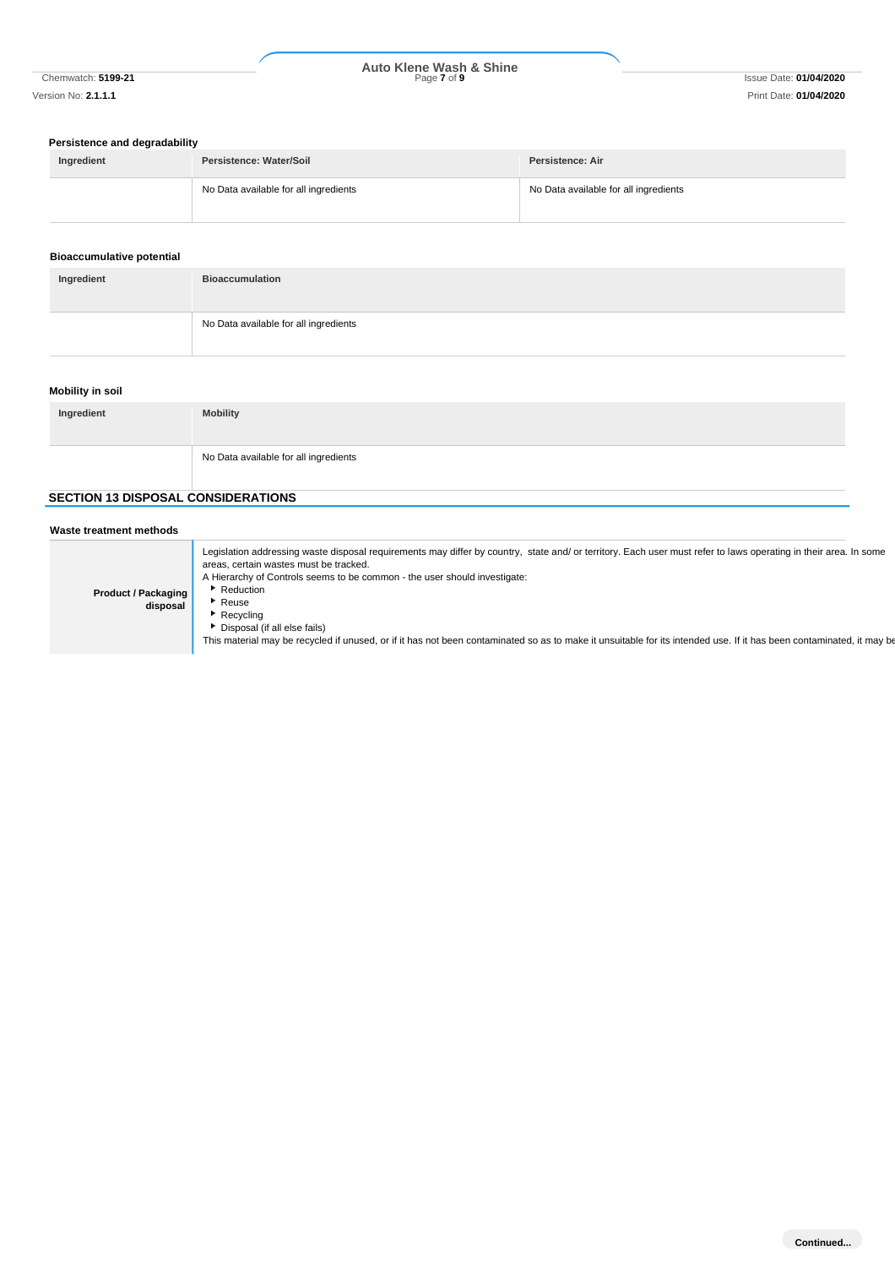# **Persistence and degradability**

| Ingredient | Persistence: Water/Soil               | Persistence: Air                      |
|------------|---------------------------------------|---------------------------------------|
|            | No Data available for all ingredients | No Data available for all ingredients |

#### **Bioaccumulative potential**

| Ingredient | <b>Bioaccumulation</b>                |
|------------|---------------------------------------|
|            | No Data available for all ingredients |

# **Mobility in soil**

| Ingredient | <b>Mobility</b>                       |
|------------|---------------------------------------|
|            | No Data available for all ingredients |

# **SECTION 13 DISPOSAL CONSIDERATIONS**

| Waste treatment methods                |                                                                                                                                                                                                                                                                                                                                                                                                                                                                                                                                    |
|----------------------------------------|------------------------------------------------------------------------------------------------------------------------------------------------------------------------------------------------------------------------------------------------------------------------------------------------------------------------------------------------------------------------------------------------------------------------------------------------------------------------------------------------------------------------------------|
| <b>Product / Packaging</b><br>disposal | Legislation addressing waste disposal requirements may differ by country, state and/ or territory. Each user must refer to laws operating in their area. In some<br>areas, certain wastes must be tracked.<br>A Hierarchy of Controls seems to be common - the user should investigate:<br>Reduction<br>Reuse<br>Recycling<br>Disposal (if all else fails)<br>This material may be recycled if unused, or if it has not been contaminated so as to make it unsuitable for its intended use. If it has been contaminated, it may be |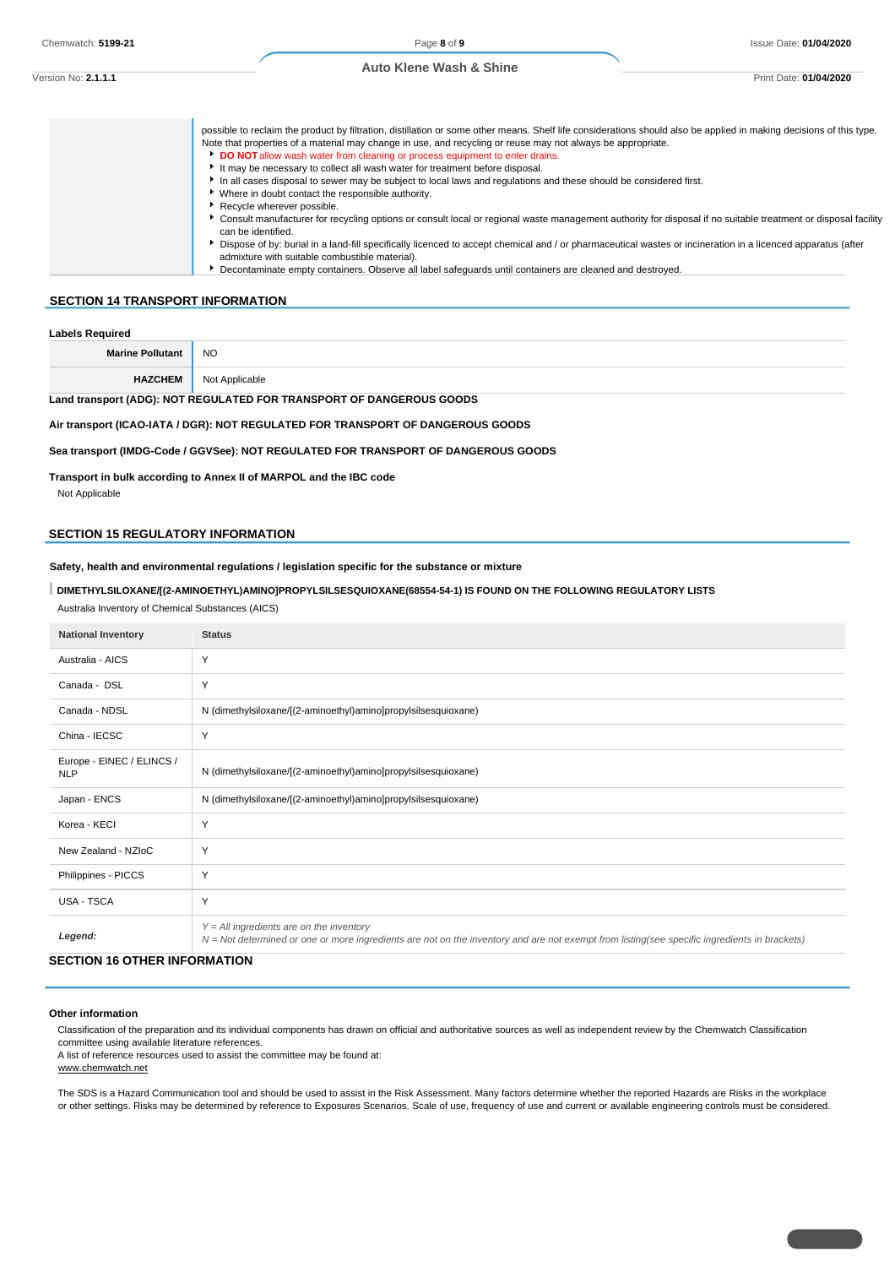| Version No: <b>2.1.1.1</b><br>Print Date |  | 01/04/2020 |
|------------------------------------------|--|------------|

| possible to reclaim the product by filtration, distillation or some other means. Shelf life considerations should also be applied in making decisions of this type.<br>Note that properties of a material may change in use, and recycling or reuse may not always be appropriate.<br>DO NOT allow wash water from cleaning or process equipment to enter drains.<br>It may be necessary to collect all wash water for treatment before disposal.<br>In all cases disposal to sewer may be subject to local laws and regulations and these should be considered first.<br>* Where in doubt contact the responsible authority.<br>Recycle wherever possible. |
|-------------------------------------------------------------------------------------------------------------------------------------------------------------------------------------------------------------------------------------------------------------------------------------------------------------------------------------------------------------------------------------------------------------------------------------------------------------------------------------------------------------------------------------------------------------------------------------------------------------------------------------------------------------|
| Consult manufacturer for recycling options or consult local or regional waste management authority for disposal if no suitable treatment or disposal facility<br>can be identified.<br>Dispose of by: burial in a land-fill specifically licenced to accept chemical and / or pharmaceutical wastes or incineration in a licenced apparatus (after<br>admixture with suitable combustible material).<br>Decontaminate empty containers. Observe all label safeguards until containers are cleaned and destroyed.                                                                                                                                            |

#### **SECTION 14 TRANSPORT INFORMATION**

| <b>Labels Required</b>                                               |                |
|----------------------------------------------------------------------|----------------|
| <b>Marine Pollutant</b>                                              | NO             |
| <b>HAZCHEM</b>                                                       | Not Applicable |
| Land transport (ADG): NOT REGULATED FOR TRANSPORT OF DANGEROUS GOODS |                |

#### **Air transport (ICAO-IATA / DGR): NOT REGULATED FOR TRANSPORT OF DANGEROUS GOODS**

**Sea transport (IMDG-Code / GGVSee): NOT REGULATED FOR TRANSPORT OF DANGEROUS GOODS**

**Transport in bulk according to Annex II of MARPOL and the IBC code**

Not Applicable

# **SECTION 15 REGULATORY INFORMATION**

**Safety, health and environmental regulations / legislation specific for the substance or mixture**

#### **DIMETHYLSILOXANE/[(2-AMINOETHYL)AMINO]PROPYLSILSESQUIOXANE(68554-54-1) IS FOUND ON THE FOLLOWING REGULATORY LISTS**

Australia Inventory of Chemical Substances (AICS)

| <b>National Inventory</b>               | <b>Status</b>                                                                                                                                                                              |
|-----------------------------------------|--------------------------------------------------------------------------------------------------------------------------------------------------------------------------------------------|
| Australia - AICS                        | Y                                                                                                                                                                                          |
| Canada - DSL                            | Y                                                                                                                                                                                          |
| Canada - NDSL                           | N (dimethylsiloxane/[(2-aminoethyl)amino]propylsilsesquioxane)                                                                                                                             |
| China - IECSC                           | Y                                                                                                                                                                                          |
| Europe - EINEC / ELINCS /<br><b>NLP</b> | N (dimethylsiloxane/[(2-aminoethyl)amino]propylsilsesquioxane)                                                                                                                             |
| Japan - ENCS                            | N (dimethylsiloxane/[(2-aminoethyl)amino]propylsilsesquioxane)                                                                                                                             |
| Korea - KECI                            | Y                                                                                                                                                                                          |
| New Zealand - NZIoC                     | Y                                                                                                                                                                                          |
| Philippines - PICCS                     | Y                                                                                                                                                                                          |
| USA - TSCA                              | Y                                                                                                                                                                                          |
| Legend:                                 | $Y = All$ ingredients are on the inventory<br>N = Not determined or one or more ingredients are not on the inventory and are not exempt from listing(see specific ingredients in brackets) |

# **SECTION 16 OTHER INFORMATION**

#### **Other information**

Classification of the preparation and its individual components has drawn on official and authoritative sources as well as independent review by the Chemwatch Classification committee using available literature references.

A list of reference resources used to assist the committee may be found at:

www.chemwatch.net

The SDS is a Hazard Communication tool and should be used to assist in the Risk Assessment. Many factors determine whether the reported Hazards are Risks in the workplace or other settings. Risks may be determined by reference to Exposures Scenarios. Scale of use, frequency of use and current or available engineering controls must be considered.